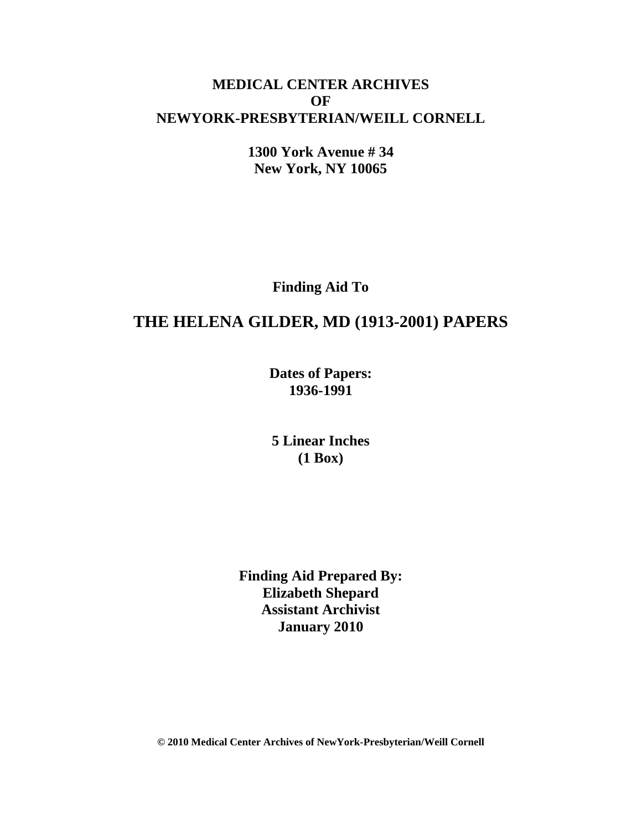## **MEDICAL CENTER ARCHIVES OF NEWYORK-PRESBYTERIAN/WEILL CORNELL**

**1300 York Avenue # 34 New York, NY 10065**

**Finding Aid To**

# **THE HELENA GILDER, MD (1913-2001) PAPERS**

**Dates of Papers: 1936-1991**

**5 Linear Inches (1 Box)**

**Finding Aid Prepared By: Elizabeth Shepard Assistant Archivist January 2010**

**© 2010 Medical Center Archives of NewYork-Presbyterian/Weill Cornell**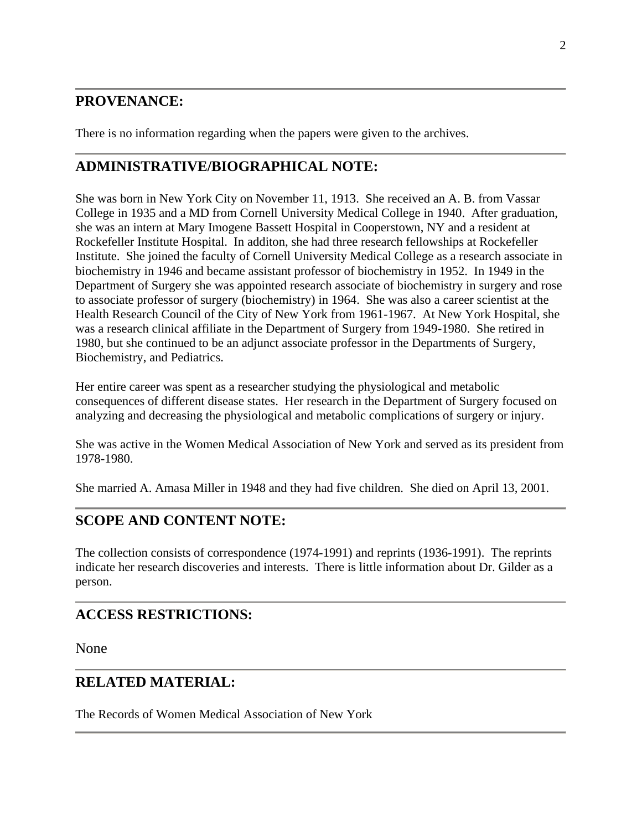## **PROVENANCE:**

There is no information regarding when the papers were given to the archives.

## **ADMINISTRATIVE/BIOGRAPHICAL NOTE:**

She was born in New York City on November 11, 1913. She received an A. B. from Vassar College in 1935 and a MD from Cornell University Medical College in 1940. After graduation, she was an intern at Mary Imogene Bassett Hospital in Cooperstown, NY and a resident at Rockefeller Institute Hospital. In additon, she had three research fellowships at Rockefeller Institute. She joined the faculty of Cornell University Medical College as a research associate in biochemistry in 1946 and became assistant professor of biochemistry in 1952. In 1949 in the Department of Surgery she was appointed research associate of biochemistry in surgery and rose to associate professor of surgery (biochemistry) in 1964. She was also a career scientist at the Health Research Council of the City of New York from 1961-1967. At New York Hospital, she was a research clinical affiliate in the Department of Surgery from 1949-1980. She retired in 1980, but she continued to be an adjunct associate professor in the Departments of Surgery, Biochemistry, and Pediatrics.

Her entire career was spent as a researcher studying the physiological and metabolic consequences of different disease states. Her research in the Department of Surgery focused on analyzing and decreasing the physiological and metabolic complications of surgery or injury.

She was active in the Women Medical Association of New York and served as its president from 1978-1980.

She married A. Amasa Miller in 1948 and they had five children. She died on April 13, 2001.

## **SCOPE AND CONTENT NOTE:**

The collection consists of correspondence (1974-1991) and reprints (1936-1991). The reprints indicate her research discoveries and interests. There is little information about Dr. Gilder as a person.

### **ACCESS RESTRICTIONS:**

None

### **RELATED MATERIAL:**

The Records of Women Medical Association of New York